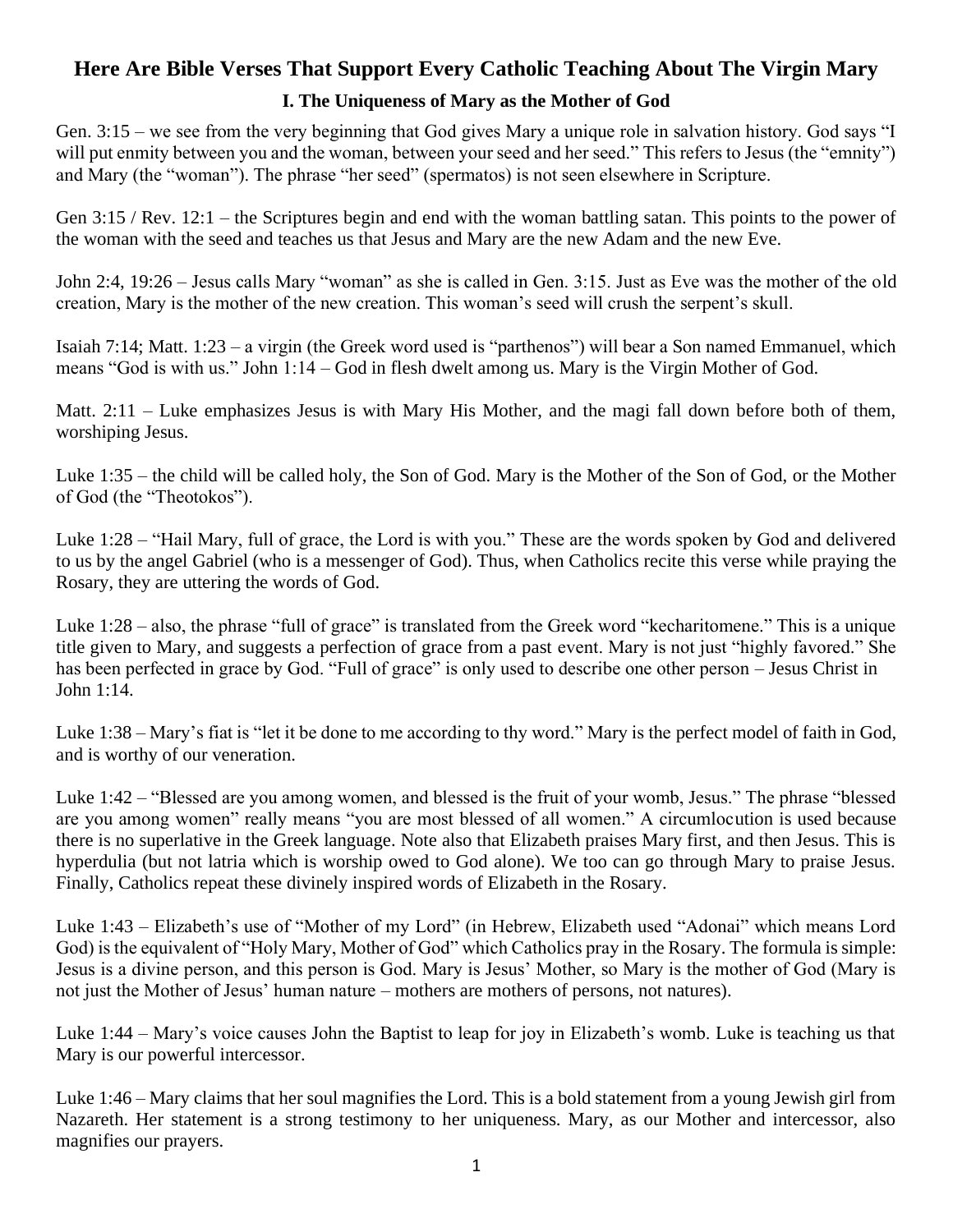# **Here Are Bible Verses That Support Every Catholic Teaching About The Virgin Mary**

# **I. The Uniqueness of Mary as the Mother of God**

Gen. 3:15 – we see from the very beginning that God gives Mary a unique role in salvation history. God says "I will put enmity between you and the woman, between your seed and her seed." This refers to Jesus (the "emnity") and Mary (the "woman"). The phrase "her seed" (spermatos) is not seen elsewhere in Scripture.

Gen 3:15 / Rev. 12:1 – the Scriptures begin and end with the woman battling satan. This points to the power of the woman with the seed and teaches us that Jesus and Mary are the new Adam and the new Eve.

John 2:4, 19:26 – Jesus calls Mary "woman" as she is called in Gen. 3:15. Just as Eve was the mother of the old creation, Mary is the mother of the new creation. This woman's seed will crush the serpent's skull.

Isaiah 7:14; Matt. 1:23 – a virgin (the Greek word used is "parthenos") will bear a Son named Emmanuel, which means "God is with us." John 1:14 – God in flesh dwelt among us. Mary is the Virgin Mother of God.

Matt. 2:11 – Luke emphasizes Jesus is with Mary His Mother, and the magi fall down before both of them, worshiping Jesus.

Luke 1:35 – the child will be called holy, the Son of God. Mary is the Mother of the Son of God, or the Mother of God (the "Theotokos").

Luke 1:28 – "Hail Mary, full of grace, the Lord is with you." These are the words spoken by God and delivered to us by the angel Gabriel (who is a messenger of God). Thus, when Catholics recite this verse while praying the Rosary, they are uttering the words of God.

Luke 1:28 – also, the phrase "full of grace" is translated from the Greek word "kecharitomene." This is a unique title given to Mary, and suggests a perfection of grace from a past event. Mary is not just "highly favored." She has been perfected in grace by God. "Full of grace" is only used to describe one other person – Jesus Christ in John 1:14.

Luke 1:38 – Mary's fiat is "let it be done to me according to thy word." Mary is the perfect model of faith in God, and is worthy of our veneration.

Luke 1:42 – "Blessed are you among women, and blessed is the fruit of your womb, Jesus." The phrase "blessed are you among women" really means "you are most blessed of all women." A circumlocution is used because there is no superlative in the Greek language. Note also that Elizabeth praises Mary first, and then Jesus. This is hyperdulia (but not latria which is worship owed to God alone). We too can go through Mary to praise Jesus. Finally, Catholics repeat these divinely inspired words of Elizabeth in the Rosary.

Luke 1:43 – Elizabeth's use of "Mother of my Lord" (in Hebrew, Elizabeth used "Adonai" which means Lord God) is the equivalent of "Holy Mary, Mother of God" which Catholics pray in the Rosary. The formula is simple: Jesus is a divine person, and this person is God. Mary is Jesus' Mother, so Mary is the mother of God (Mary is not just the Mother of Jesus' human nature – mothers are mothers of persons, not natures).

Luke 1:44 – Mary's voice causes John the Baptist to leap for joy in Elizabeth's womb. Luke is teaching us that Mary is our powerful intercessor.

Luke 1:46 – Mary claims that her soul magnifies the Lord. This is a bold statement from a young Jewish girl from Nazareth. Her statement is a strong testimony to her uniqueness. Mary, as our Mother and intercessor, also magnifies our prayers.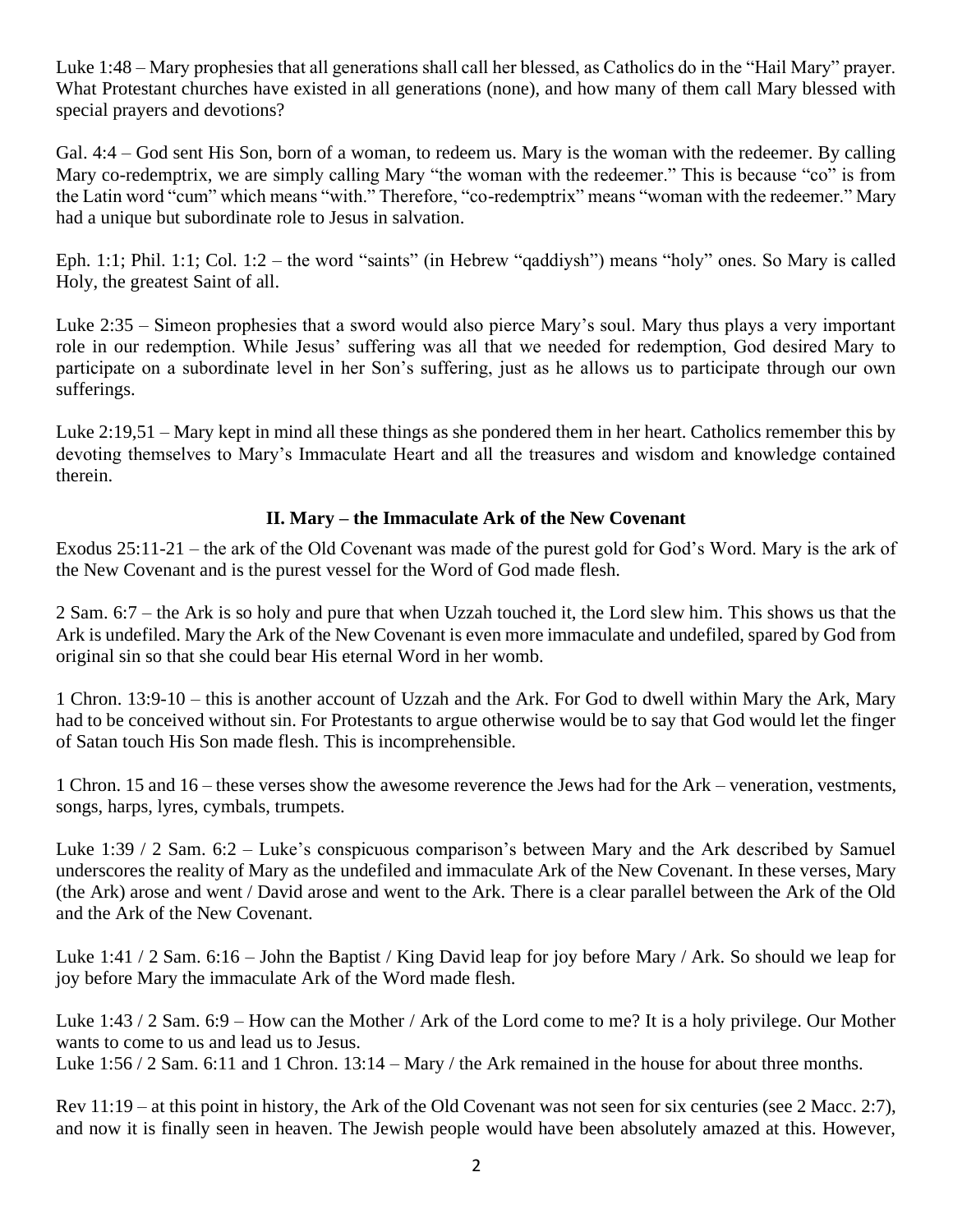Luke 1:48 – Mary prophesies that all generations shall call her blessed, as Catholics do in the "Hail Mary" prayer. What Protestant churches have existed in all generations (none), and how many of them call Mary blessed with special prayers and devotions?

Gal. 4:4 – God sent His Son, born of a woman, to redeem us. Mary is the woman with the redeemer. By calling Mary co-redemptrix, we are simply calling Mary "the woman with the redeemer." This is because "co" is from the Latin word "cum" which means "with." Therefore, "co-redemptrix" means "woman with the redeemer." Mary had a unique but subordinate role to Jesus in salvation.

Eph. 1:1; Phil. 1:1; Col. 1:2 – the word "saints" (in Hebrew "qaddiysh") means "holy" ones. So Mary is called Holy, the greatest Saint of all.

Luke 2:35 – Simeon prophesies that a sword would also pierce Mary's soul. Mary thus plays a very important role in our redemption. While Jesus' suffering was all that we needed for redemption, God desired Mary to participate on a subordinate level in her Son's suffering, just as he allows us to participate through our own sufferings.

Luke 2:19,51 – Mary kept in mind all these things as she pondered them in her heart. Catholics remember this by devoting themselves to Mary's Immaculate Heart and all the treasures and wisdom and knowledge contained therein.

## **II. Mary – the Immaculate Ark of the New Covenant**

Exodus 25:11-21 – the ark of the Old Covenant was made of the purest gold for God's Word. Mary is the ark of the New Covenant and is the purest vessel for the Word of God made flesh.

2 Sam. 6:7 – the Ark is so holy and pure that when Uzzah touched it, the Lord slew him. This shows us that the Ark is undefiled. Mary the Ark of the New Covenant is even more immaculate and undefiled, spared by God from original sin so that she could bear His eternal Word in her womb.

1 Chron. 13:9-10 – this is another account of Uzzah and the Ark. For God to dwell within Mary the Ark, Mary had to be conceived without sin. For Protestants to argue otherwise would be to say that God would let the finger of Satan touch His Son made flesh. This is incomprehensible.

1 Chron. 15 and 16 – these verses show the awesome reverence the Jews had for the Ark – veneration, vestments, songs, harps, lyres, cymbals, trumpets.

Luke 1:39 / 2 Sam. 6:2 – Luke's conspicuous comparison's between Mary and the Ark described by Samuel underscores the reality of Mary as the undefiled and immaculate Ark of the New Covenant. In these verses, Mary (the Ark) arose and went / David arose and went to the Ark. There is a clear parallel between the Ark of the Old and the Ark of the New Covenant.

Luke 1:41 / 2 Sam. 6:16 – John the Baptist / King David leap for joy before Mary / Ark. So should we leap for joy before Mary the immaculate Ark of the Word made flesh.

Luke 1:43 / 2 Sam. 6:9 – How can the Mother / Ark of the Lord come to me? It is a holy privilege. Our Mother wants to come to us and lead us to Jesus.

Luke 1:56 / 2 Sam. 6:11 and 1 Chron. 13:14 – Mary / the Ark remained in the house for about three months.

Rev 11:19 – at this point in history, the Ark of the Old Covenant was not seen for six centuries (see 2 Macc. 2:7), and now it is finally seen in heaven. The Jewish people would have been absolutely amazed at this. However,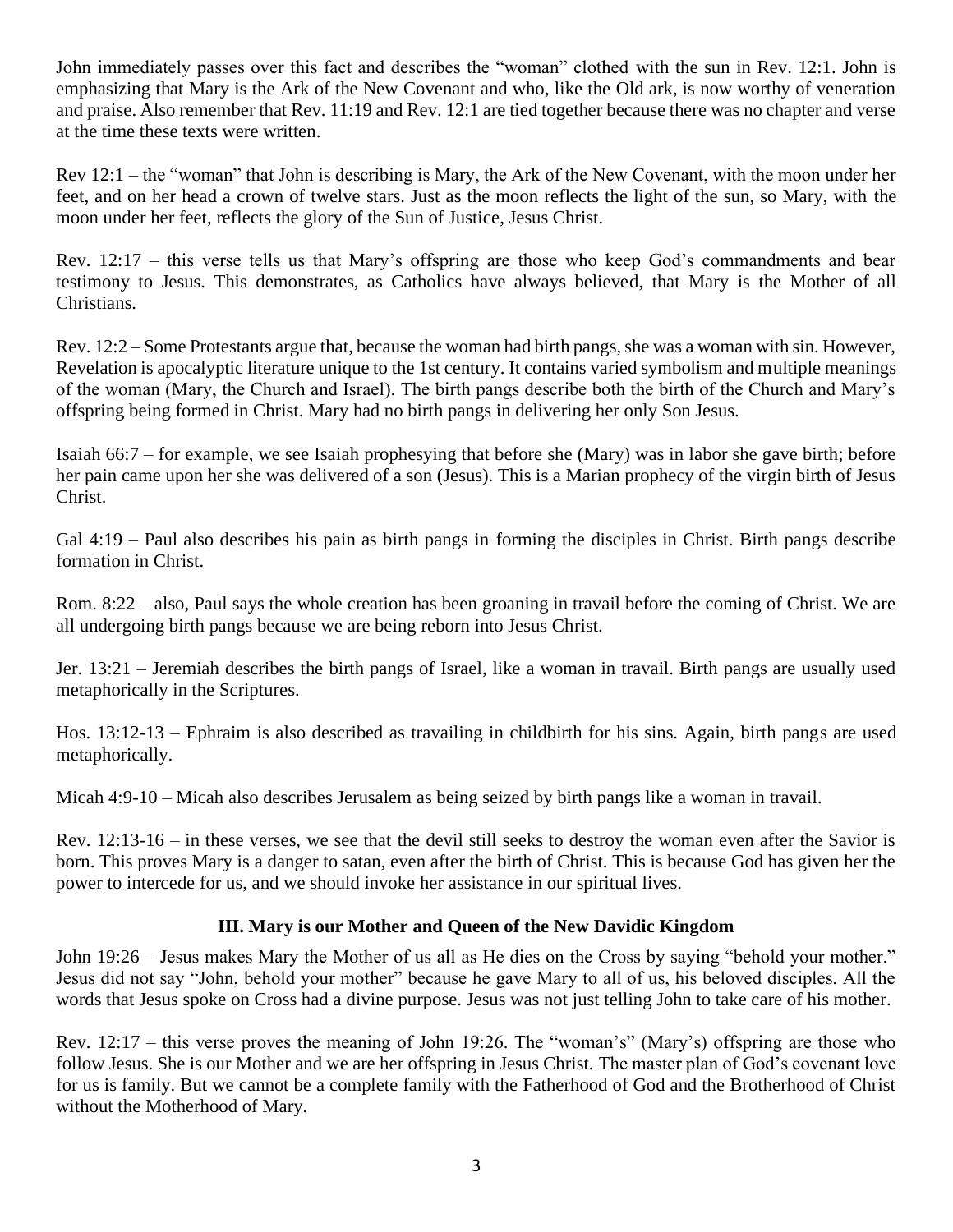John immediately passes over this fact and describes the "woman" clothed with the sun in Rev. 12:1. John is emphasizing that Mary is the Ark of the New Covenant and who, like the Old ark, is now worthy of veneration and praise. Also remember that Rev. 11:19 and Rev. 12:1 are tied together because there was no chapter and verse at the time these texts were written.

Rev 12:1 – the "woman" that John is describing is Mary, the Ark of the New Covenant, with the moon under her feet, and on her head a crown of twelve stars. Just as the moon reflects the light of the sun, so Mary, with the moon under her feet, reflects the glory of the Sun of Justice, Jesus Christ.

Rev. 12:17 – this verse tells us that Mary's offspring are those who keep God's commandments and bear testimony to Jesus. This demonstrates, as Catholics have always believed, that Mary is the Mother of all Christians.

Rev. 12:2 – Some Protestants argue that, because the woman had birth pangs, she was a woman with sin. However, Revelation is apocalyptic literature unique to the 1st century. It contains varied symbolism and multiple meanings of the woman (Mary, the Church and Israel). The birth pangs describe both the birth of the Church and Mary's offspring being formed in Christ. Mary had no birth pangs in delivering her only Son Jesus.

Isaiah 66:7 – for example, we see Isaiah prophesying that before she (Mary) was in labor she gave birth; before her pain came upon her she was delivered of a son (Jesus). This is a Marian prophecy of the virgin birth of Jesus Christ.

Gal 4:19 – Paul also describes his pain as birth pangs in forming the disciples in Christ. Birth pangs describe formation in Christ.

Rom. 8:22 – also, Paul says the whole creation has been groaning in travail before the coming of Christ. We are all undergoing birth pangs because we are being reborn into Jesus Christ.

Jer. 13:21 – Jeremiah describes the birth pangs of Israel, like a woman in travail. Birth pangs are usually used metaphorically in the Scriptures.

Hos. 13:12-13 – Ephraim is also described as travailing in childbirth for his sins. Again, birth pangs are used metaphorically.

Micah 4:9-10 – Micah also describes Jerusalem as being seized by birth pangs like a woman in travail.

Rev. 12:13-16 – in these verses, we see that the devil still seeks to destroy the woman even after the Savior is born. This proves Mary is a danger to satan, even after the birth of Christ. This is because God has given her the power to intercede for us, and we should invoke her assistance in our spiritual lives.

# **III. Mary is our Mother and Queen of the New Davidic Kingdom**

John 19:26 – Jesus makes Mary the Mother of us all as He dies on the Cross by saying "behold your mother." Jesus did not say "John, behold your mother" because he gave Mary to all of us, his beloved disciples. All the words that Jesus spoke on Cross had a divine purpose. Jesus was not just telling John to take care of his mother.

Rev. 12:17 – this verse proves the meaning of John 19:26. The "woman's" (Mary's) offspring are those who follow Jesus. She is our Mother and we are her offspring in Jesus Christ. The master plan of God's covenant love for us is family. But we cannot be a complete family with the Fatherhood of God and the Brotherhood of Christ without the Motherhood of Mary.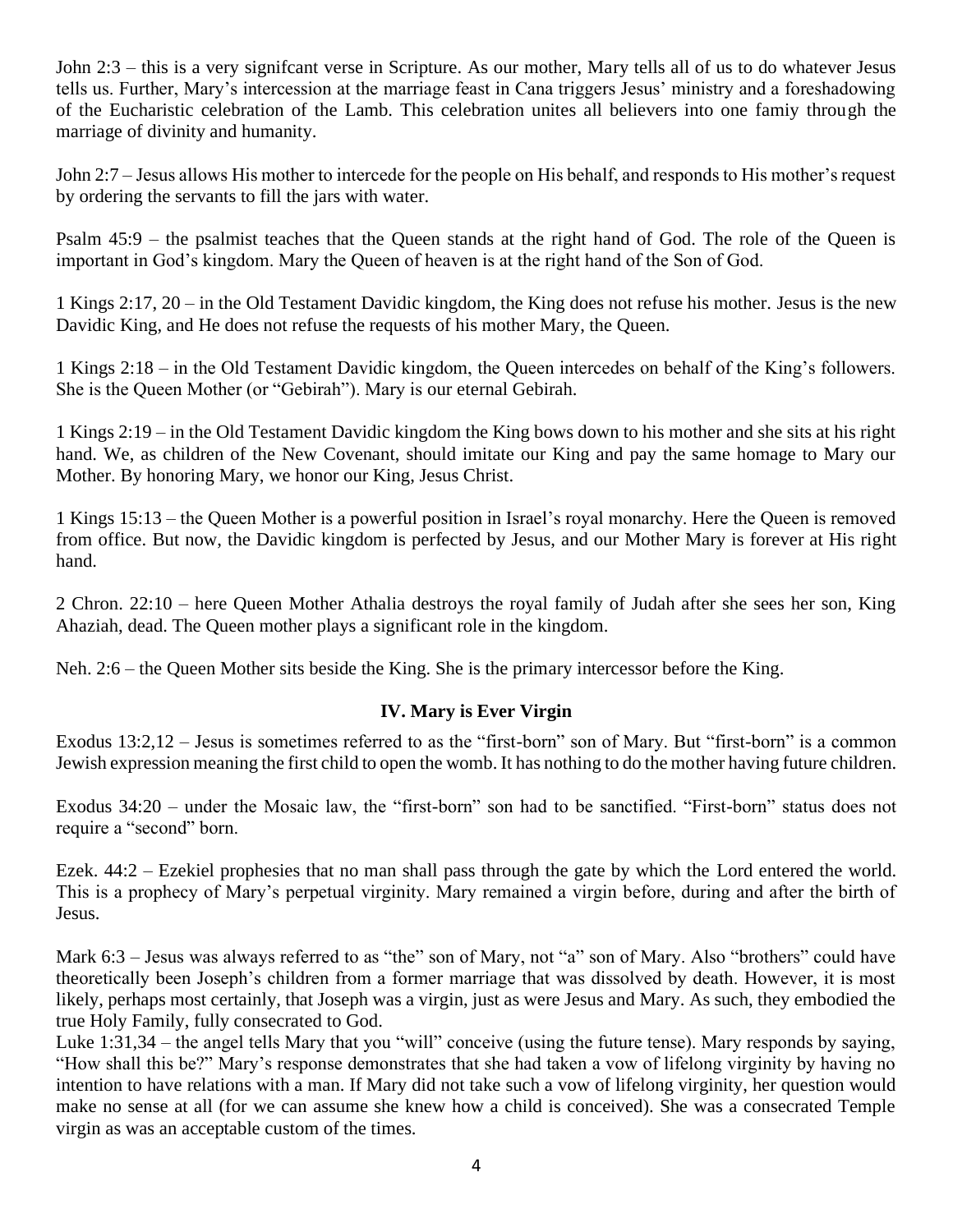John 2:3 – this is a very signifcant verse in Scripture. As our mother, Mary tells all of us to do whatever Jesus tells us. Further, Mary's intercession at the marriage feast in Cana triggers Jesus' ministry and a foreshadowing of the Eucharistic celebration of the Lamb. This celebration unites all believers into one famiy through the marriage of divinity and humanity.

John 2:7 – Jesus allows His mother to intercede for the people on His behalf, and responds to His mother's request by ordering the servants to fill the jars with water.

Psalm 45:9 – the psalmist teaches that the Queen stands at the right hand of God. The role of the Queen is important in God's kingdom. Mary the Queen of heaven is at the right hand of the Son of God.

1 Kings 2:17, 20 – in the Old Testament Davidic kingdom, the King does not refuse his mother. Jesus is the new Davidic King, and He does not refuse the requests of his mother Mary, the Queen.

1 Kings 2:18 – in the Old Testament Davidic kingdom, the Queen intercedes on behalf of the King's followers. She is the Queen Mother (or "Gebirah"). Mary is our eternal Gebirah.

1 Kings 2:19 – in the Old Testament Davidic kingdom the King bows down to his mother and she sits at his right hand. We, as children of the New Covenant, should imitate our King and pay the same homage to Mary our Mother. By honoring Mary, we honor our King, Jesus Christ.

1 Kings 15:13 – the Queen Mother is a powerful position in Israel's royal monarchy. Here the Queen is removed from office. But now, the Davidic kingdom is perfected by Jesus, and our Mother Mary is forever at His right hand.

2 Chron. 22:10 – here Queen Mother Athalia destroys the royal family of Judah after she sees her son, King Ahaziah, dead. The Queen mother plays a significant role in the kingdom.

Neh. 2:6 – the Queen Mother sits beside the King. She is the primary intercessor before the King.

### **IV. Mary is Ever Virgin**

Exodus 13:2,12 – Jesus is sometimes referred to as the "first-born" son of Mary. But "first-born" is a common Jewish expression meaning the first child to open the womb. It has nothing to do the mother having future children.

Exodus 34:20 – under the Mosaic law, the "first-born" son had to be sanctified. "First-born" status does not require a "second" born.

Ezek. 44:2 – Ezekiel prophesies that no man shall pass through the gate by which the Lord entered the world. This is a prophecy of Mary's perpetual virginity. Mary remained a virgin before, during and after the birth of Jesus.

Mark 6:3 – Jesus was always referred to as "the" son of Mary, not "a" son of Mary. Also "brothers" could have theoretically been Joseph's children from a former marriage that was dissolved by death. However, it is most likely, perhaps most certainly, that Joseph was a virgin, just as were Jesus and Mary. As such, they embodied the true Holy Family, fully consecrated to God.

Luke 1:31,34 – the angel tells Mary that you "will" conceive (using the future tense). Mary responds by saying, "How shall this be?" Mary's response demonstrates that she had taken a vow of lifelong virginity by having no intention to have relations with a man. If Mary did not take such a vow of lifelong virginity, her question would make no sense at all (for we can assume she knew how a child is conceived). She was a consecrated Temple virgin as was an acceptable custom of the times.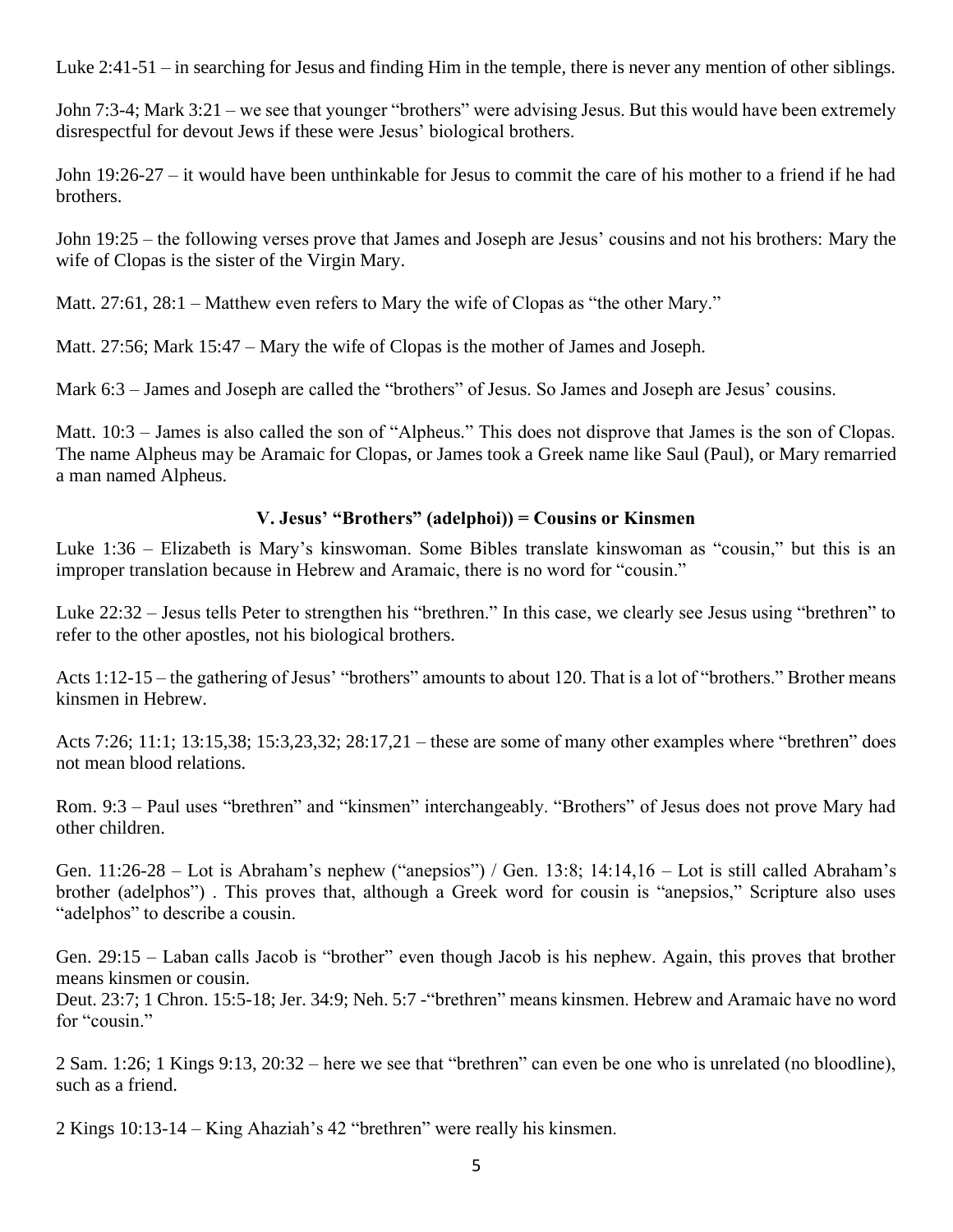Luke 2:41-51 – in searching for Jesus and finding Him in the temple, there is never any mention of other siblings.

John 7:3-4; Mark 3:21 – we see that younger "brothers" were advising Jesus. But this would have been extremely disrespectful for devout Jews if these were Jesus' biological brothers.

John 19:26-27 – it would have been unthinkable for Jesus to commit the care of his mother to a friend if he had brothers.

John 19:25 – the following verses prove that James and Joseph are Jesus' cousins and not his brothers: Mary the wife of Clopas is the sister of the Virgin Mary.

Matt. 27:61, 28:1 – Matthew even refers to Mary the wife of Clopas as "the other Mary."

Matt. 27:56; Mark 15:47 – Mary the wife of Clopas is the mother of James and Joseph.

Mark 6:3 – James and Joseph are called the "brothers" of Jesus. So James and Joseph are Jesus' cousins.

Matt. 10:3 – James is also called the son of "Alpheus." This does not disprove that James is the son of Clopas. The name Alpheus may be Aramaic for Clopas, or James took a Greek name like Saul (Paul), or Mary remarried a man named Alpheus.

# **V. Jesus' "Brothers" (adelphoi)) = Cousins or Kinsmen**

Luke 1:36 – Elizabeth is Mary's kinswoman. Some Bibles translate kinswoman as "cousin," but this is an improper translation because in Hebrew and Aramaic, there is no word for "cousin."

Luke 22:32 – Jesus tells Peter to strengthen his "brethren." In this case, we clearly see Jesus using "brethren" to refer to the other apostles, not his biological brothers.

Acts 1:12-15 – the gathering of Jesus' "brothers" amounts to about 120. That is a lot of "brothers." Brother means kinsmen in Hebrew.

Acts 7:26; 11:1; 13:15,38; 15:3,23,32; 28:17,21 – these are some of many other examples where "brethren" does not mean blood relations.

Rom. 9:3 – Paul uses "brethren" and "kinsmen" interchangeably. "Brothers" of Jesus does not prove Mary had other children.

Gen. 11:26-28 – Lot is Abraham's nephew ("anepsios") / Gen. 13:8; 14:14,16 – Lot is still called Abraham's brother (adelphos") . This proves that, although a Greek word for cousin is "anepsios," Scripture also uses "adelphos" to describe a cousin.

Gen. 29:15 – Laban calls Jacob is "brother" even though Jacob is his nephew. Again, this proves that brother means kinsmen or cousin.

Deut. 23:7; 1 Chron. 15:5-18; Jer. 34:9; Neh. 5:7 -"brethren" means kinsmen. Hebrew and Aramaic have no word for "cousin."

2 Sam. 1:26; 1 Kings 9:13, 20:32 – here we see that "brethren" can even be one who is unrelated (no bloodline), such as a friend.

2 Kings 10:13-14 – King Ahaziah's 42 "brethren" were really his kinsmen.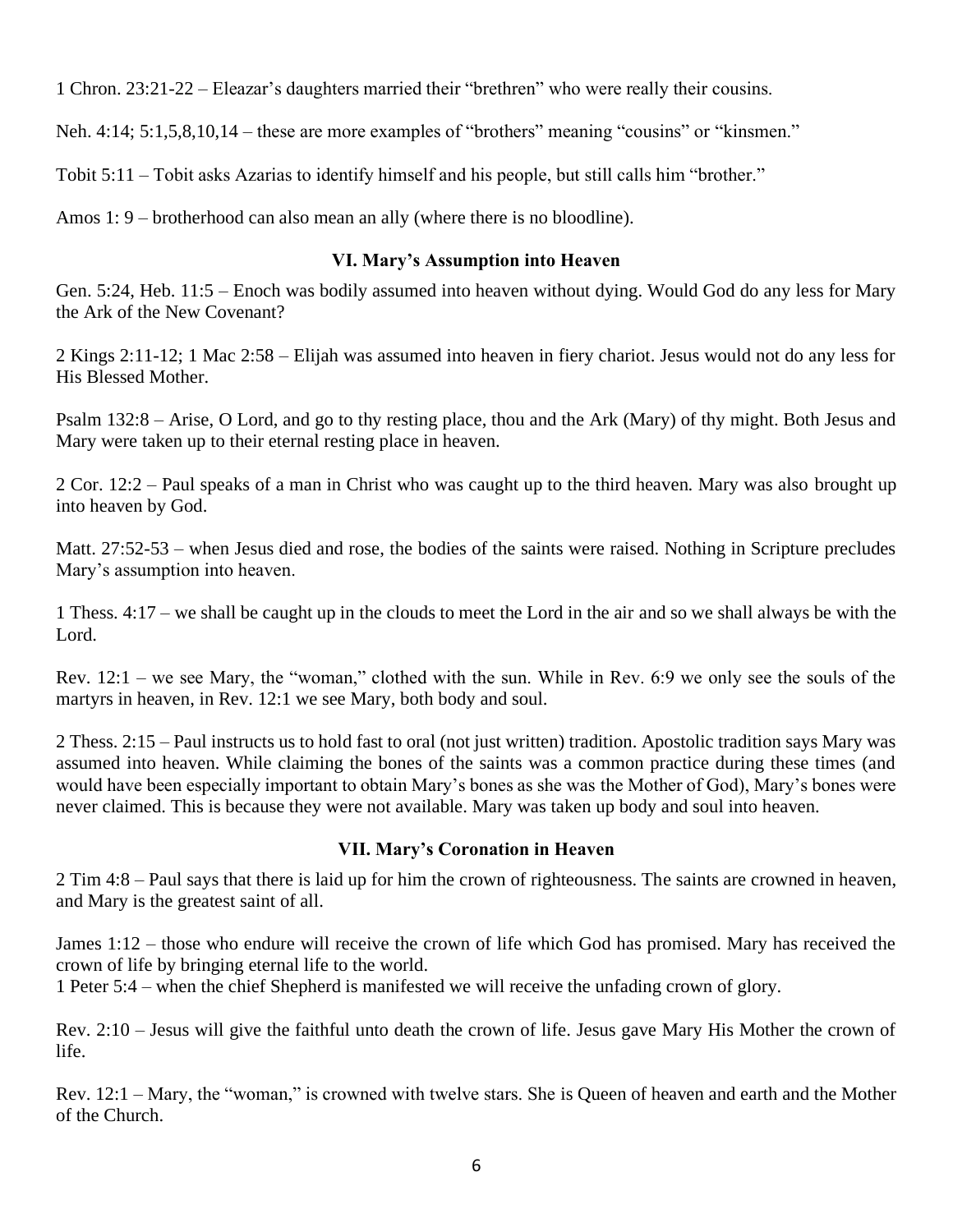1 Chron. 23:21-22 – Eleazar's daughters married their "brethren" who were really their cousins.

Neh. 4:14; 5:1,5,8,10,14 – these are more examples of "brothers" meaning "cousins" or "kinsmen."

Tobit 5:11 – Tobit asks Azarias to identify himself and his people, but still calls him "brother."

Amos 1: 9 – brotherhood can also mean an ally (where there is no bloodline).

#### **VI. Mary's Assumption into Heaven**

Gen. 5:24, Heb. 11:5 – Enoch was bodily assumed into heaven without dying. Would God do any less for Mary the Ark of the New Covenant?

2 Kings 2:11-12; 1 Mac 2:58 – Elijah was assumed into heaven in fiery chariot. Jesus would not do any less for His Blessed Mother.

Psalm 132:8 – Arise, O Lord, and go to thy resting place, thou and the Ark (Mary) of thy might. Both Jesus and Mary were taken up to their eternal resting place in heaven.

2 Cor. 12:2 – Paul speaks of a man in Christ who was caught up to the third heaven. Mary was also brought up into heaven by God.

Matt. 27:52-53 – when Jesus died and rose, the bodies of the saints were raised. Nothing in Scripture precludes Mary's assumption into heaven.

1 Thess. 4:17 – we shall be caught up in the clouds to meet the Lord in the air and so we shall always be with the Lord.

Rev. 12:1 – we see Mary, the "woman," clothed with the sun. While in Rev. 6:9 we only see the souls of the martyrs in heaven, in Rev. 12:1 we see Mary, both body and soul.

2 Thess. 2:15 – Paul instructs us to hold fast to oral (not just written) tradition. Apostolic tradition says Mary was assumed into heaven. While claiming the bones of the saints was a common practice during these times (and would have been especially important to obtain Mary's bones as she was the Mother of God), Mary's bones were never claimed. This is because they were not available. Mary was taken up body and soul into heaven.

#### **VII. Mary's Coronation in Heaven**

2 Tim 4:8 – Paul says that there is laid up for him the crown of righteousness. The saints are crowned in heaven, and Mary is the greatest saint of all.

James 1:12 – those who endure will receive the crown of life which God has promised. Mary has received the crown of life by bringing eternal life to the world.

1 Peter 5:4 – when the chief Shepherd is manifested we will receive the unfading crown of glory.

Rev. 2:10 – Jesus will give the faithful unto death the crown of life. Jesus gave Mary His Mother the crown of life.

Rev. 12:1 – Mary, the "woman," is crowned with twelve stars. She is Queen of heaven and earth and the Mother of the Church.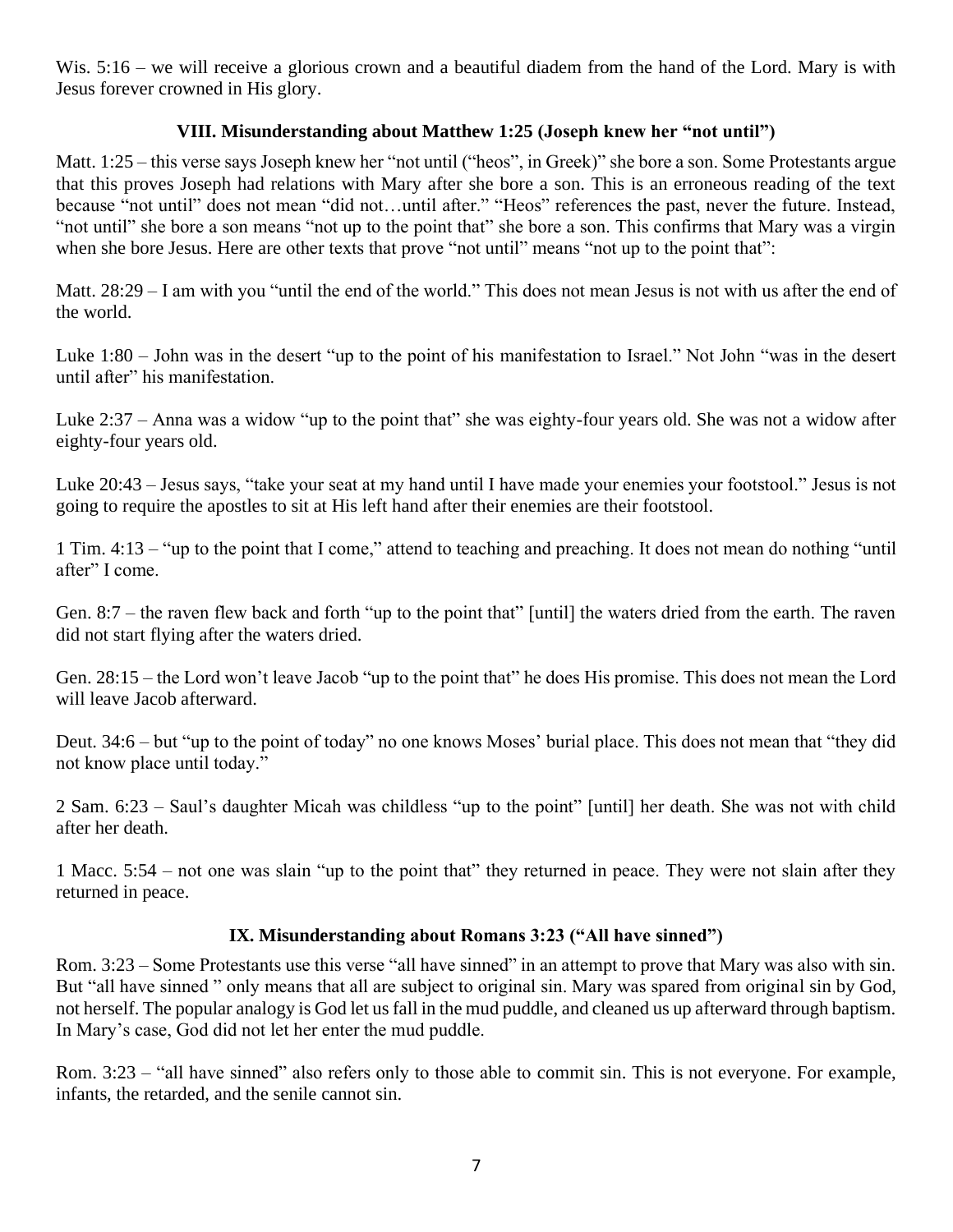Wis. 5:16 – we will receive a glorious crown and a beautiful diadem from the hand of the Lord. Mary is with Jesus forever crowned in His glory.

### **VIII. Misunderstanding about Matthew 1:25 (Joseph knew her "not until")**

Matt. 1:25 – this verse says Joseph knew her "not until ("heos", in Greek)" she bore a son. Some Protestants argue that this proves Joseph had relations with Mary after she bore a son. This is an erroneous reading of the text because "not until" does not mean "did not…until after." "Heos" references the past, never the future. Instead, "not until" she bore a son means "not up to the point that" she bore a son. This confirms that Mary was a virgin when she bore Jesus. Here are other texts that prove "not until" means "not up to the point that":

Matt. 28:29 – I am with you "until the end of the world." This does not mean Jesus is not with us after the end of the world.

Luke 1:80 – John was in the desert "up to the point of his manifestation to Israel." Not John "was in the desert until after" his manifestation.

Luke 2:37 – Anna was a widow "up to the point that" she was eighty-four years old. She was not a widow after eighty-four years old.

Luke 20:43 – Jesus says, "take your seat at my hand until I have made your enemies your footstool." Jesus is not going to require the apostles to sit at His left hand after their enemies are their footstool.

1 Tim. 4:13 – "up to the point that I come," attend to teaching and preaching. It does not mean do nothing "until after" I come.

Gen. 8:7 – the raven flew back and forth "up to the point that" [until] the waters dried from the earth. The raven did not start flying after the waters dried.

Gen. 28:15 – the Lord won't leave Jacob "up to the point that" he does His promise. This does not mean the Lord will leave Jacob afterward.

Deut. 34:6 – but "up to the point of today" no one knows Moses' burial place. This does not mean that "they did not know place until today."

2 Sam. 6:23 – Saul's daughter Micah was childless "up to the point" [until] her death. She was not with child after her death.

1 Macc. 5:54 – not one was slain "up to the point that" they returned in peace. They were not slain after they returned in peace.

### **IX. Misunderstanding about Romans 3:23 ("All have sinned")**

Rom. 3:23 – Some Protestants use this verse "all have sinned" in an attempt to prove that Mary was also with sin. But "all have sinned " only means that all are subject to original sin. Mary was spared from original sin by God, not herself. The popular analogy is God let us fall in the mud puddle, and cleaned us up afterward through baptism. In Mary's case, God did not let her enter the mud puddle.

Rom. 3:23 – "all have sinned" also refers only to those able to commit sin. This is not everyone. For example, infants, the retarded, and the senile cannot sin.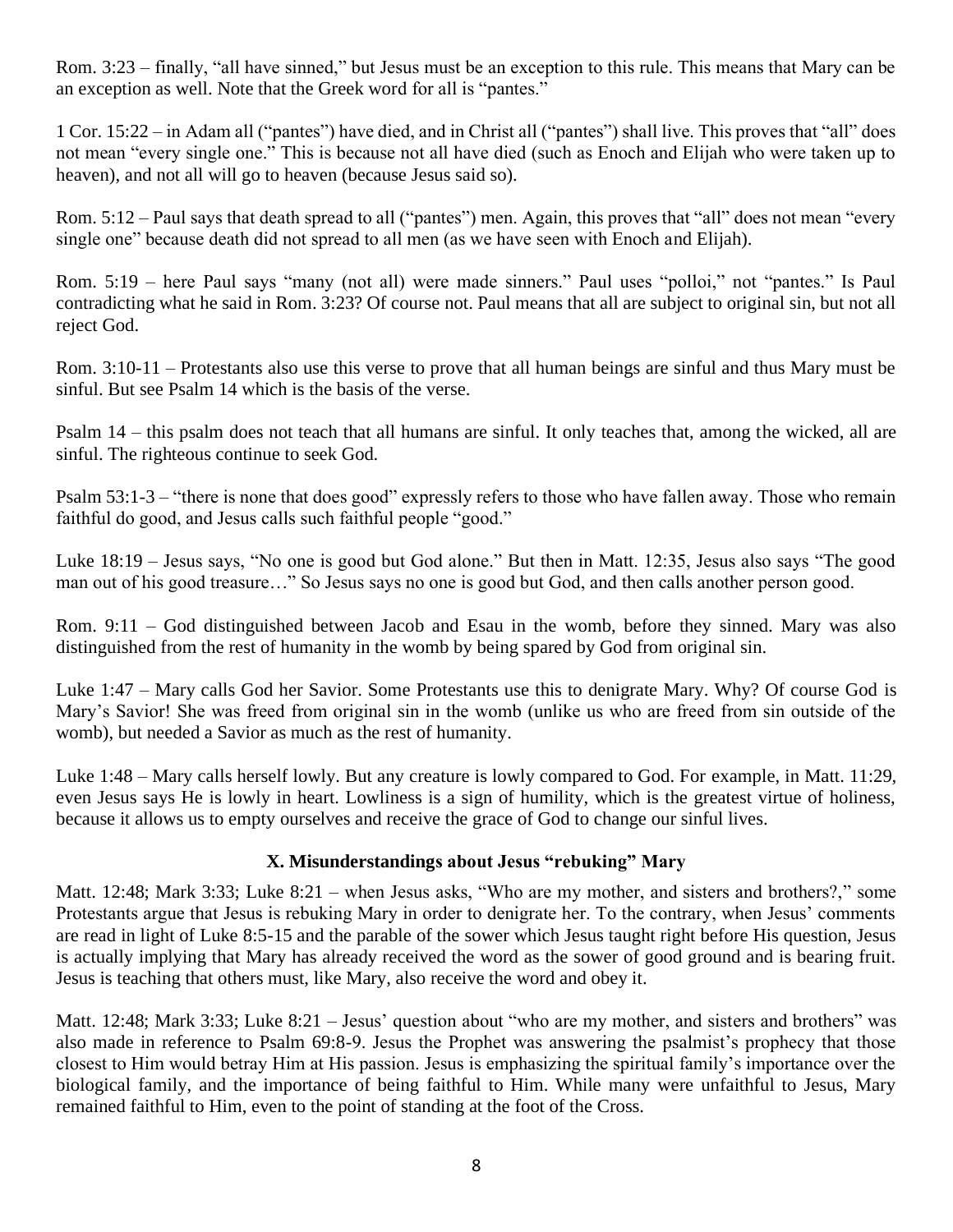Rom. 3:23 – finally, "all have sinned," but Jesus must be an exception to this rule. This means that Mary can be an exception as well. Note that the Greek word for all is "pantes."

1 Cor. 15:22 – in Adam all ("pantes") have died, and in Christ all ("pantes") shall live. This proves that "all" does not mean "every single one." This is because not all have died (such as Enoch and Elijah who were taken up to heaven), and not all will go to heaven (because Jesus said so).

Rom. 5:12 – Paul says that death spread to all ("pantes") men. Again, this proves that "all" does not mean "every single one" because death did not spread to all men (as we have seen with Enoch and Elijah).

Rom. 5:19 – here Paul says "many (not all) were made sinners." Paul uses "polloi," not "pantes." Is Paul contradicting what he said in Rom. 3:23? Of course not. Paul means that all are subject to original sin, but not all reject God.

Rom. 3:10-11 – Protestants also use this verse to prove that all human beings are sinful and thus Mary must be sinful. But see Psalm 14 which is the basis of the verse.

Psalm 14 – this psalm does not teach that all humans are sinful. It only teaches that, among the wicked, all are sinful. The righteous continue to seek God.

Psalm 53:1-3 – "there is none that does good" expressly refers to those who have fallen away. Those who remain faithful do good, and Jesus calls such faithful people "good."

Luke 18:19 – Jesus says, "No one is good but God alone." But then in Matt. 12:35, Jesus also says "The good man out of his good treasure…" So Jesus says no one is good but God, and then calls another person good.

Rom. 9:11 – God distinguished between Jacob and Esau in the womb, before they sinned. Mary was also distinguished from the rest of humanity in the womb by being spared by God from original sin.

Luke 1:47 – Mary calls God her Savior. Some Protestants use this to denigrate Mary. Why? Of course God is Mary's Savior! She was freed from original sin in the womb (unlike us who are freed from sin outside of the womb), but needed a Savior as much as the rest of humanity.

Luke 1:48 – Mary calls herself lowly. But any creature is lowly compared to God. For example, in Matt. 11:29, even Jesus says He is lowly in heart. Lowliness is a sign of humility, which is the greatest virtue of holiness, because it allows us to empty ourselves and receive the grace of God to change our sinful lives.

### **X. Misunderstandings about Jesus "rebuking" Mary**

Matt. 12:48; Mark 3:33; Luke 8:21 – when Jesus asks, "Who are my mother, and sisters and brothers?," some Protestants argue that Jesus is rebuking Mary in order to denigrate her. To the contrary, when Jesus' comments are read in light of Luke 8:5-15 and the parable of the sower which Jesus taught right before His question, Jesus is actually implying that Mary has already received the word as the sower of good ground and is bearing fruit. Jesus is teaching that others must, like Mary, also receive the word and obey it.

Matt. 12:48; Mark 3:33; Luke 8:21 – Jesus' question about "who are my mother, and sisters and brothers" was also made in reference to Psalm 69:8-9. Jesus the Prophet was answering the psalmist's prophecy that those closest to Him would betray Him at His passion. Jesus is emphasizing the spiritual family's importance over the biological family, and the importance of being faithful to Him. While many were unfaithful to Jesus, Mary remained faithful to Him, even to the point of standing at the foot of the Cross.